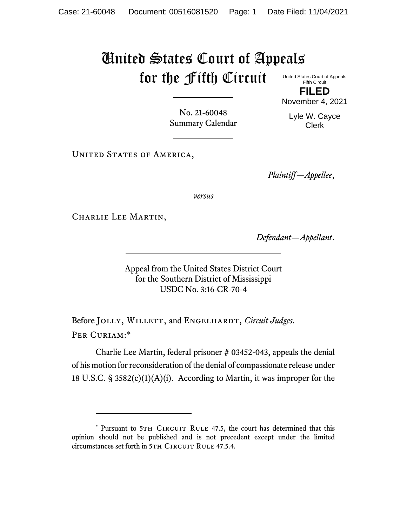## United States Court of Appeals for the Fifth Circuit

United States Court of Appeals Fifth Circuit **FILED**

No. 21-60048 Summary Calendar November 4, 2021 Lyle W. Cayce Clerk

UNITED STATES OF AMERICA,

*Plaintiff—Appellee*,

*versus*

CHARLIE LEE MARTIN,

*Defendant—Appellant*.

Appeal from the United States District Court for the Southern District of Mississippi USDC No. 3:16-CR-70-4

Before JOLLY, WILLETT, and ENGELHARDT, *Circuit Judges*. Per Curiam:\*

Charlie Lee Martin, federal prisoner # 03452-043, appeals the denial of his motion for reconsideration of the denial of compassionate release under 18 U.S.C. § 3582(c)(1)(A)(i). According to Martin, it was improper for the

<sup>\*</sup> Pursuant to 5TH CIRCUIT RULE 47.5, the court has determined that this opinion should not be published and is not precedent except under the limited circumstances set forth in 5TH CIRCUIT RULE 47.5.4.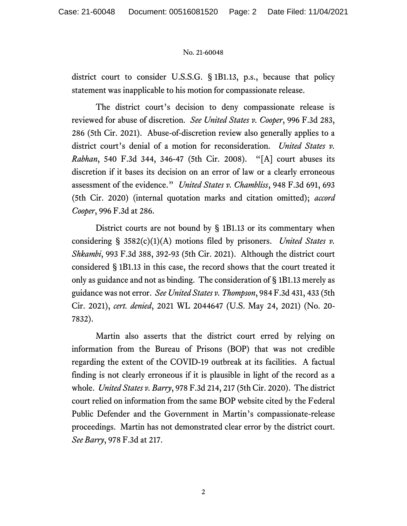## No. 21-60048

district court to consider U.S.S.G. § 1B1.13, p.s., because that policy statement was inapplicable to his motion for compassionate release.

The district court's decision to deny compassionate release is reviewed for abuse of discretion. *See United States v. Cooper*, 996 F.3d 283, 286 (5th Cir. 2021). Abuse-of-discretion review also generally applies to a district court's denial of a motion for reconsideration. *United States v. Rabhan*, 540 F.3d 344, 346-47 (5th Cir. 2008). "[A] court abuses its discretion if it bases its decision on an error of law or a clearly erroneous assessment of the evidence." *United States v. Chambliss*, 948 F.3d 691, 693 (5th Cir. 2020) (internal quotation marks and citation omitted); *accord Cooper*, 996 F.3d at 286.

District courts are not bound by § 1B1.13 or its commentary when considering § 3582(c)(1)(A) motions filed by prisoners. *United States v. Shkambi*, 993 F.3d 388, 392-93 (5th Cir. 2021). Although the district court considered § 1B1.13 in this case, the record shows that the court treated it only as guidance and not as binding. The consideration of § 1B1.13 merely as guidance was not error. *See United States v. Thompson*, 984 F.3d 431, 433 (5th Cir. 2021), *cert. denied*, 2021 WL 2044647 (U.S. May 24, 2021) (No. 20- 7832).

Martin also asserts that the district court erred by relying on information from the Bureau of Prisons (BOP) that was not credible regarding the extent of the COVID-19 outbreak at its facilities. A factual finding is not clearly erroneous if it is plausible in light of the record as a whole. *United States v. Barry*, 978 F.3d 214, 217 (5th Cir. 2020). The district court relied on information from the same BOP website cited by the Federal Public Defender and the Government in Martin's compassionate-release proceedings. Martin has not demonstrated clear error by the district court. *See Barry*, 978 F.3d at 217.